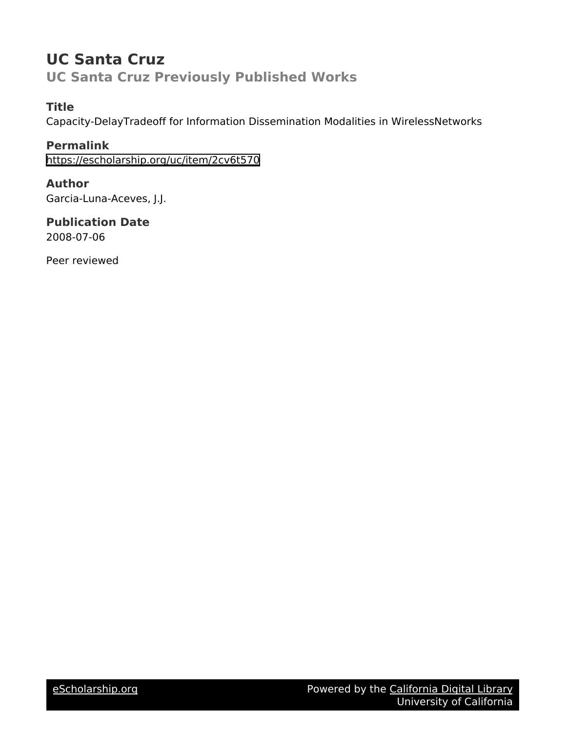## **UC Santa Cruz UC Santa Cruz Previously Published Works**

### **Title**

Capacity-DelayTradeoff for Information Dissemination Modalities in WirelessNetworks

**Permalink** <https://escholarship.org/uc/item/2cv6t570>

**Author** Garcia-Luna-Aceves, J.J.

**Publication Date** 2008-07-06

Peer reviewed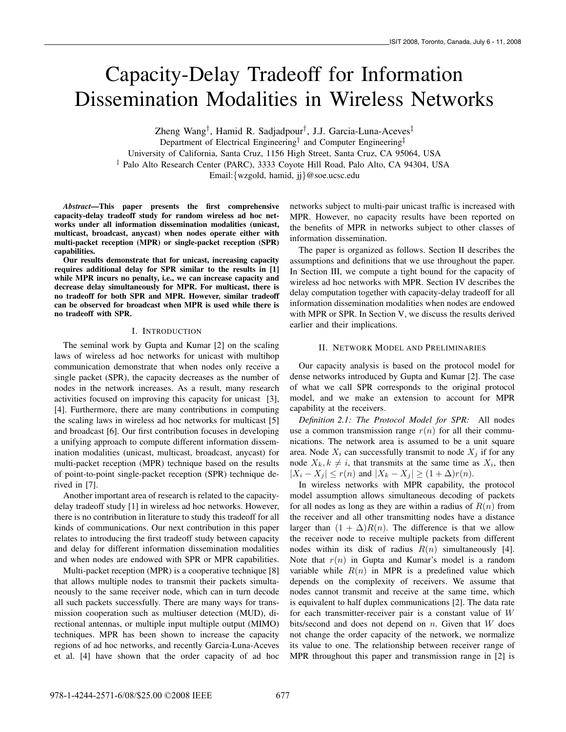# Capacity-Delay Tradeoff for Information Dissemination Modalities in Wireless Networks

Zheng Wang†, Hamid R. Sadjadpour†, J.J. Garcia-Luna-Aceves‡ Department of Electrical Engineering<sup>†</sup> and Computer Engineering<sup>†</sup> University of California, Santa Cruz, 1156 High Street, Santa Cruz, CA 95064, USA ‡ Palo Alto Research Center (PARC), 3333 Coyote Hill Road, Palo Alto, CA 94304, USA Email:{wzgold, hamid, jj}@soe.ucsc.edu

*Abstract*—This paper presents the first comprehensive capacity-delay tradeoff study for random wireless ad hoc networks under all information dissemination modalities (unicast, multicast, broadcast, anycast) when nodes operate either with multi-packet reception (MPR) or single-packet reception (SPR) capabilities.

Our results demonstrate that for unicast, increasing capacity requires additional delay for SPR similar to the results in [1] while MPR incurs no penalty, i.e., we can increase capacity and decrease delay simultaneously for MPR. For multicast, there is no tradeoff for both SPR and MPR. However, similar tradeoff can be observed for broadcast when MPR is used while there is no tradeoff with SPR.

#### I. INTRODUCTION

The seminal work by Gupta and Kumar [2] on the scaling laws of wireless ad hoc networks for unicast with multihop communication demonstrate that when nodes only receive a single packet (SPR), the capacity decreases as the number of nodes in the network increases. As a result, many research activities focused on improving this capacity for unicast [3], [4]. Furthermore, there are many contributions in computing the scaling laws in wireless ad hoc networks for multicast [5] and broadcast [6]. Our first contribution focuses in developing a unifying approach to compute different information dissemination modalities (unicast, multicast, broadcast, anycast) for multi-packet reception (MPR) technique based on the results of point-to-point single-packet reception (SPR) technique derived in [7].

Another important area of research is related to the capacitydelay tradeoff study [1] in wireless ad hoc networks. However, there is no contribution in literature to study this tradeoff for all kinds of communications. Our next contribution in this paper relates to introducing the first tradeoff study between capacity and delay for different information dissemination modalities and when nodes are endowed with SPR or MPR capabilities.

Multi-packet reception (MPR) is a cooperative technique [8] that allows multiple nodes to transmit their packets simultaneously to the same receiver node, which can in turn decode all such packets successfully. There are many ways for transmission cooperation such as multiuser detection (MUD), directional antennas, or multiple input multiple output (MIMO) techniques. MPR has been shown to increase the capacity regions of ad hoc networks, and recently Garcia-Luna-Aceves et al. [4] have shown that the order capacity of ad hoc networks subject to multi-pair unicast traffic is increased with MPR. However, no capacity results have been reported on the benefits of MPR in networks subject to other classes of information dissemination.

The paper is organized as follows. Section II describes the assumptions and definitions that we use throughout the paper. In Section III, we compute a tight bound for the capacity of wireless ad hoc networks with MPR. Section IV describes the delay computation together with capacity-delay tradeoff for all information dissemination modalities when nodes are endowed with MPR or SPR. In Section V, we discuss the results derived earlier and their implications.

#### II. NETWORK MODEL AND PRELIMINARIES

Our capacity analysis is based on the protocol model for dense networks introduced by Gupta and Kumar [2]. The case of what we call SPR corresponds to the original protocol model, and we make an extension to account for MPR capability at the receivers.

*Definition 2.1: The Protocol Model for SPR:* All nodes use a common transmission range  $r(n)$  for all their communications. The network area is assumed to be a unit square area. Node  $X_i$  can successfully transmit to node  $X_j$  if for any node  $X_k, k \neq i$ , that transmits at the same time as  $X_i$ , then  $|X_i - X_j| \leq r(n)$  and  $|X_i - X_j| \geq (1 + \Delta)r(n)$  $|X_i - X_j| \le r(n)$  and  $|X_k - X_j| \ge (1 + \Delta)r(n)$ .

In wireless networks with MPR capability, the protocol model assumption allows simultaneous decoding of packets for all nodes as long as they are within a radius of  $R(n)$  from the receiver and all other transmitting nodes have a distance larger than  $(1 + \Delta)R(n)$ . The difference is that we allow the receiver node to receive multiple packets from different nodes within its disk of radius  $R(n)$  simultaneously [4]. Note that  $r(n)$  in Gupta and Kumar's model is a random variable while  $R(n)$  in MPR is a predefined value which depends on the complexity of receivers. We assume that nodes cannot transmit and receive at the same time, which is equivalent to half duplex communications [2]. The data rate for each transmitter-receiver pair is a constant value of  $W$ bits/second and does not depend on  $n$ . Given that  $W$  does not change the order capacity of the network, we normalize its value to one. The relationship between receiver range of MPR throughout this paper and transmission range in [2] is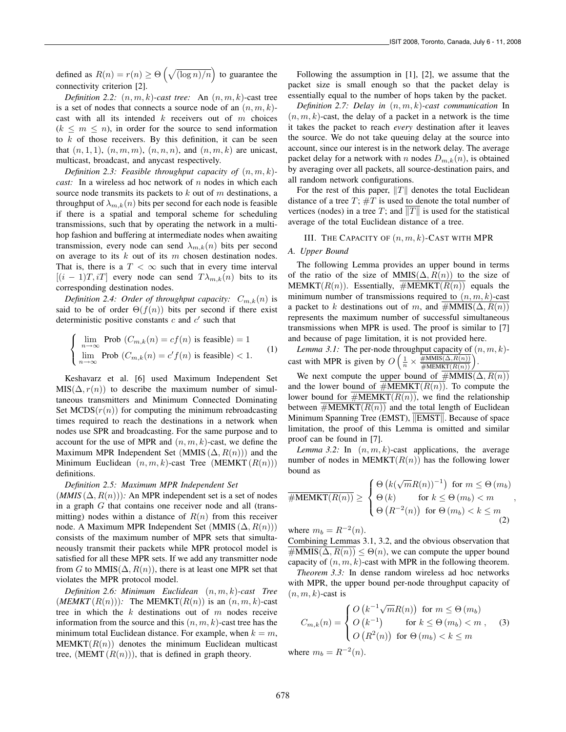defined as  $R(n) = r(n) \ge \Theta\left(\sqrt{\frac{\log n}{n}}\right)$  to guarantee the connectivity criterion [2].

*Definition 2.2:*  $(n, m, k)$ -cast tree: An  $(n, m, k)$ -cast tree is a set of nodes that connects a source node of an  $(n, m, k)$ cast with all its intended  $k$  receivers out of  $m$  choices  $(k \leq m \leq n)$ , in order for the source to send information to  $k$  of those receivers. By this definition, it can be seen that  $(n, 1, 1)$ ,  $(n, m, m)$ ,  $(n, n, n)$ , and  $(n, m, k)$  are unicast, multicast, broadcast, and anycast respectively.

*Definition 2.3: Feasible throughput capacity of* (n, m, k) *cast:* In a wireless ad hoc network of n nodes in which each source node transmits its packets to  $k$  out of  $m$  destinations, a throughput of  $\lambda_{m,k}(n)$  bits per second for each node is feasible if there is a spatial and temporal scheme for scheduling transmissions, such that by operating the network in a multihop fashion and buffering at intermediate nodes when awaiting transmission, every node can send  $\lambda_{m,k}(n)$  bits per second on average to its  $k$  out of its  $m$  chosen destination nodes. That is, there is a  $T < \infty$  such that in every time interval  $[(i - 1)T, iT]$  every node can send  $T\lambda_{m,k}(n)$  bits to its corresponding destination nodes.

*Definition 2.4: Order of throughput capacity:*  $C_{m,k}(n)$  is said to be of order  $\Theta(f(n))$  bits per second if there exist deterministic positive constants  $c$  and  $c'$  such that

$$
\begin{cases}\n\lim_{n \to \infty} \text{Prob } (C_{m,k}(n) = cf(n) \text{ is feasible}) = 1 \\
\lim_{n \to \infty} \text{Prob } (C_{m,k}(n) = c' f(n) \text{ is feasible}) < 1.\n\end{cases} \tag{1}
$$

Keshavarz et al. [6] used Maximum Independent Set  $MIS(\Delta, r(n))$  to describe the maximum number of simultaneous transmitters and Minimum Connected Dominating Set  $MCDS(r(n))$  for computing the minimum rebroadcasting times required to reach the destinations in a network when nodes use SPR and broadcasting. For the same purpose and to account for the use of MPR and  $(n, m, k)$ -cast, we define the Maximum MPR Independent Set  $(MMIS(\Delta, R(n)))$  and the Minimum Euclidean  $(n, m, k)$ -cast Tree  $(MEMKT(R(n)))$ definitions.

#### *Definition 2.5: Maximum MPR Independent Set*

 $(MMIS(\Delta, R(n)))$ : An MPR independent set is a set of nodes in a graph G that contains one receiver node and all (transmitting) nodes within a distance of  $R(n)$  from this receiver node. A Maximum MPR Independent Set  $(MMIS(\Delta, R(n)))$ consists of the maximum number of MPR sets that simultaneously transmit their packets while MPR protocol model is satisfied for all these MPR sets. If we add any transmitter node from G to MMIS $(\Delta, R(n))$ , there is at least one MPR set that violates the MPR protocol model.

*Definition 2.6: Minimum Euclidean* (n, m, k)*-cast Tree*  $(MEMKT(R(n)))$ : The MEMKT $(R(n))$  is an  $(n, m, k)$ -cast tree in which the  $k$  destinations out of  $m$  nodes receive information from the source and this  $(n, m, k)$ -cast tree has the minimum total Euclidean distance. For example, when  $k = m$ ,  $MEMKT(R(n))$  denotes the minimum Euclidean multicast tree,  $(MEMT(R(n)))$ , that is defined in graph theory.

Following the assumption in [1], [2], we assume that the packet size is small enough so that the packet delay is essentially equal to the number of hops taken by the packet.

*Definition 2.7: Delay in* (n, m, k)*-cast communication* In  $(n, m, k)$ -cast, the delay of a packet in a network is the time it takes the packet to reach *every* destination after it leaves the source. We do not take queuing delay at the source into account, since our interest is in the network delay. The average packet delay for a network with n nodes  $D_{m,k}(n)$ , is obtained by averaging over all packets, all source-destination pairs, and all random network configurations.

For the rest of this paper,  $||T||$  denotes the total Euclidean distance of a tree  $T$ ;  $\#T$  is used to denote the total number of vertices (nodes) in a tree T; and  $||T||$  is used for the statistical average of the total Euclidean distance of a tree.

#### III. THE CAPACITY OF  $(n, m, k)$ -CAST WITH MPR

#### *A. Upper Bound*

The following Lemma provides an upper bound in terms of the ratio of the size of MMIS( $\Delta$ ,  $R(n)$ ) to the size of MEMKT( $R(n)$ ). Essentially,  $\#MEMKT(R(n))$  equals the minimum number of transmissions required to  $(n, m, k)$ -cast a packet to k destinations out of m, and  $\#\text{MMIS}(\Delta, R(n))$ represents the maximum number of successful simultaneous transmissions when MPR is used. The proof is similar to [7] and because of page limitation, it is not provided here.

*Lemma 3.1:* The per-node throughput capacity of  $(n, m, k)$ cast with MPR is given by  $O\left(\frac{1}{n} \times \frac{\overline{\#MMIS}(\Delta, R(n))}{\overline{\#MEMKT(R(n))}}\right)$ .

We next compute the upper bound of  $\#MMIS(\Delta, R(n))$ and the lower bound of  $\#MEMKT(R(n))$ . To compute the lower bound for  $\#MEMKT(R(n))$ , we find the relationship between  $\#MEMKT(R(n))$  and the total length of Euclidean Minimum Spanning Tree (EMST), *EMST Recause* of space limitation, the proof of this Lemma is omitted and similar proof can be found in [7].

*Lemma 3.2:* In  $(n, m, k)$ -cast applications, the average number of nodes in MEMKT $(R(n))$  has the following lower bound as

$$
\overline{\text{HMEMKT}(R(n))} \geq \begin{cases} \Theta\left(k(\sqrt{m}R(n))^{-1}\right) & \text{for } m \leq \Theta(m_b) \\ \Theta\left(k\right) & \text{for } k \leq \Theta(m_b) < m \\ \Theta\left(R^{-2}(n)\right) & \text{for } \Theta(m_b) < k \leq m \end{cases},
$$
\n
$$
\tag{2}
$$

where  $m_b = R^{-2}(n)$ .

Combining Lemmas 3.1, 3.2, and the obvious observation that  $\#\text{MMIS}(\Delta, R(n)) \leq \Theta(n)$ , we can compute the upper bound capacity of  $(n, m, k)$ -cast with MPR in the following theorem.

*Theorem 3.3:* In dense random wireless ad hoc networks with MPR, the upper bound per-node throughput capacity of  $(n, m, k)$ -cast is

$$
C_{m,k}(n) = \begin{cases} O\left(k^{-1}\sqrt{m}R(n)\right) & \text{for } m \leq \Theta(m_b) \\ O\left(k^{-1}\right) & \text{for } k \leq \Theta(m_b) < m \\ O\left(R^2(n)\right) & \text{for } \Theta(m_b) < k \leq m \end{cases}
$$
 (3)

where  $m_b = R^{-2}(n)$ .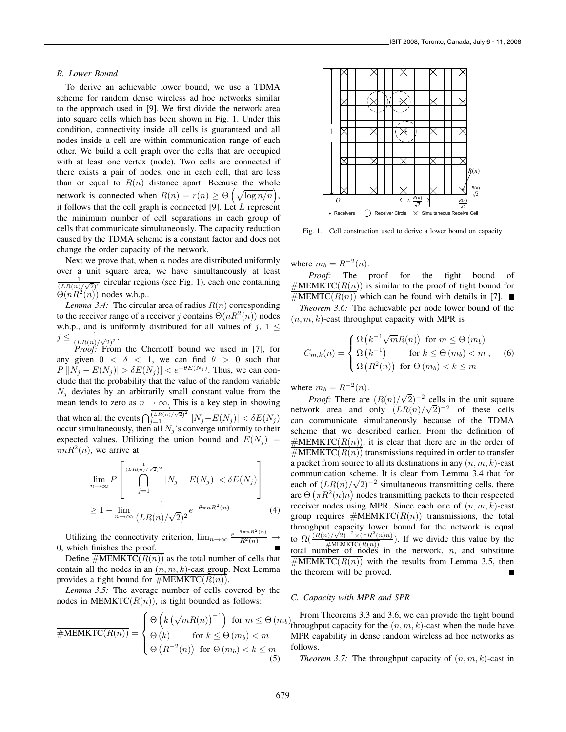#### *B. Lower Bound*

To derive an achievable lower bound, we use a TDMA scheme for random dense wireless ad hoc networks similar to the approach used in [9]. We first divide the network area into square cells which has been shown in Fig. 1. Under this condition, connectivity inside all cells is guaranteed and all nodes inside a cell are within communication range of each other. We build a cell graph over the cells that are occupied with at least one vertex (node). Two cells are connected if there exists a pair of nodes, one in each cell, that are less than or equal to  $R(n)$  distance apart. Because the whole network is connected when  $R(n) = r(n) \ge \Theta\left(\sqrt{\log n/n}\right)$ ,<br>it follows that the call graph is connected [0]. Let L range<br>out it follows that the cell graph is connected [9]. Let  $L$  represent the minimum number of cell separations in each group of cells that communicate simultaneously. The capacity reduction caused by the TDMA scheme is a constant factor and does not change the order capacity of the network.

Next we prove that, when  $n$  nodes are distributed uniformly over a unit square area, we have simultaneously at least 1  $\frac{1}{(LR(n)/\sqrt{2})^2}$  circular regions (see Fig. 1), each one containing  $\Theta(nR^2(n))$  nodes w.h.p..

*Lemma 3.4:* The circular area of radius  $R(n)$  corresponding to the receiver range of a receiver j contains  $\Theta(nR^2(n))$  nodes w.h.p., and is uniformly distributed for all values of j,  $1 \leq$  $j \leq \frac{1}{(LR(n)/\sqrt{2})^2}.$ 

*Proof:* From the Chernoff bound we used in [7], for any given  $0 < \delta < 1$ , we can find  $\theta > 0$  such that  $P[|N_j - E(N_j)| > \delta E(N_j)] < e^{-\theta E(N_j)}$ . Thus, we can con-<br>clude that the probability that the value of the random variable clude that the probability that the value of the random variable  $N_i$  deviates by an arbitrarily small constant value from the mean tends to zero as  $n \to \infty$ . This is a key step in showing that when all the events  $\int_{j=1}^{\frac{1}{(LR(n)/\sqrt{2})^2}} |N_j - E(N_j)| < \delta E(N_j)$ <br>occur simultaneously, then all  $N$ .'s converge uniformly to their occur simultaneously, then all  $N_i$ 's converge uniformly to their expected values. Utilizing the union bound and  $E(N_i)$  =  $\pi nR^2(n)$ , we arrive at

$$
\lim_{n \to \infty} P\left[\bigcap_{j=1}^{\frac{1}{(LR(n)/\sqrt{2})^2}} |N_j - E(N_j)| < \delta E(N_j)\right]
$$
  
\n
$$
\geq 1 - \lim_{n \to \infty} \frac{1}{(LR(n)/\sqrt{2})^2} e^{-\theta \pi n R^2(n)} \tag{4}
$$

Utilizing the connectivity criterion,  $\lim_{n\to\infty} \frac{e^{-\theta \pi n R^2(n)}}{R^2(n)} \to$ 0, which finishes the proof.

Define  $\#MEMKTC(R(n))$  as the total number of cells that contain all the nodes in an  $(n, m, k)$ -cast group. Next Lemma provides a tight bound for  $\overline{\#MEMKTC(R(n))}$ .

*Lemma 3.5:* The average number of cells covered by the nodes in MEMKTC $(R(n))$ , is tight bounded as follows:

$$
\overline{\text{HMEMKTC}(R(n))} = \begin{cases} \Theta\left(k\left(\sqrt{m}R(n)\right)^{-1}\right) & \text{for } m \leq \Theta(m) \\ \Theta\left(k\right) & \text{for } k \leq \Theta(m_b) < m \\ \Theta\left(R^{-2}(n)\right) & \text{for } \Theta(m_b) < k \leq m \end{cases} \tag{5}
$$



Fig. 1. Cell construction used to derive a lower bound on capacity

where  $m_b = R^{-2}(n)$ .<br>*Proof*: The

The proof for the tight bound of  $\#MEMKTC(R(n))$  is similar to the proof of tight bound for  $\#MEMTC(R(n))$  which can be found with details in [7]. *Theorem 3.6:* The achievable per node lower bound of the

 $(n, m, k)$ -cast throughput capacity with MPR is

$$
C_{m,k}(n) = \begin{cases} \Omega(k^{-1}\sqrt{m}R(n)) & \text{for } m \leq \Theta(m_b) \\ \Omega(k^{-1}) & \text{for } k \leq \Theta(m_b) < m , \\ \Omega(R^2(n)) & \text{for } \Theta(m_b) < k \leq m \end{cases}
$$
 (6)

where  $m_h = R^{-2}(n)$ .

*Proof:* There are  $(R(n)/$  $\sqrt{2}$ )<sup>-2</sup> cells in the unit square *Proof:* There are  $(R(n)/\sqrt{2})$  – cells in the unit square<br>network area and only  $(LR(n)/\sqrt{2})^{-2}$  of these cells<br>can communicate simultaneously because of the TDMA can communicate simultaneously because of the TDMA scheme that we described earlier. From the definition of  $\#MEMKTC(R(n))$ , it is clear that there are in the order of  $#MEMKTC(R(n))$  transmissions required in order to transfer a packet from source to all its destinations in any  $(n, m, k)$ -cast communication scheme. It is clear from Lemma 3.4 that for each of  $(LR(n)/\sqrt{2})^{-2}$  simultaneous transmitting cells, there are  $\Theta(\pi R^2(n)n)$  podes transmitting packets to their respected are  $\Theta(\pi R^2(n)n)$  nodes transmitting packets to their respected<br>receiver nodes using MPR. Since each one of  $(n, m, k)$ -cast receiver nodes using MPR. Since each one of  $(n, m, k)$ -cast group requires  $\#MEMKTC(R(n))$  transmissions, the total throughput capacity lower bound for the network is equal to  $\Omega(\frac{(R(n)/\sqrt{2})^{-2} \times (\pi R^2(n)n)}{\pi M E M K T C (R(n))})$ . If we divide this value by the to  $\frac{1}{2\epsilon}(\frac{1}{\epsilon} + \frac{1}{2\epsilon})$ . If we divide this value by the total number of nodes in the network, n, and substitute  $#MEMKTC(R(n))$  with the results from Lemma 3.5, then the theorem will be proved.

#### *C. Capacity with MPR and SPR*

for  $m \leq \Theta(m_b)$  Trom Theorems 5.5 and 5.0, we can provide the tight bound<br>throughput capacity for the  $(n, m, k)$ -cast when the node have<br> $(m_b) < m$ . MPR capability in dense random wireless ad hoc networks as From Theorems 3.3 and 3.6, we can provide the tight bound MPR capability in dense random wireless ad hoc networks as follows.

*Theorem 3.7:* The throughput capacity of  $(n, m, k)$ -cast in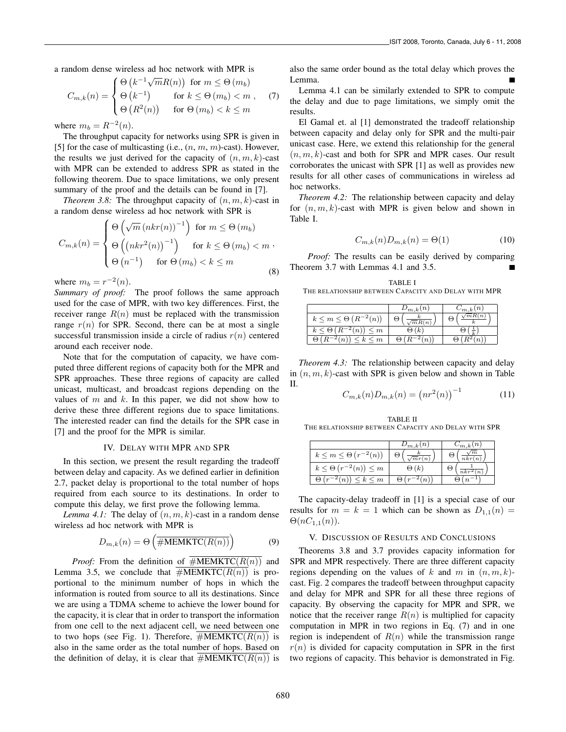a random dense wireless ad hoc network with MPR is

$$
C_{m,k}(n) = \begin{cases} \Theta(k^{-1}\sqrt{m}R(n)) & \text{for } m \leq \Theta(m_b) \\ \Theta(k^{-1}) & \text{for } k \leq \Theta(m_b) < m \\ \Theta(R^2(n)) & \text{for } \Theta(m_b) < k \leq m \end{cases}
$$
 (7)

where  $m_b = R^{-2}(n)$ .

The throughput capacity for networks using SPR is given in [5] for the case of multicasting (i.e.,  $(n, m, m)$ -cast). However, the results we just derived for the capacity of  $(n, m, k)$ -cast with MPR can be extended to address SPR as stated in the following theorem. Due to space limitations, we only present summary of the proof and the details can be found in [7].

*Theorem 3.8:* The throughput capacity of  $(n, m, k)$ -cast in a random dense wireless ad hoc network with SPR is

$$
C_{m,k}(n) = \begin{cases} \Theta\left(\sqrt{m} \left(nkr(n)\right)^{-1}\right) & \text{for } m \leq \Theta(m_b) \\ \Theta\left(\left(nkr^2(n)\right)^{-1}\right) & \text{for } k \leq \Theta(m_b) < m \\ \Theta\left(n^{-1}\right) & \text{for } \Theta(m_b) < k \leq m \end{cases}
$$
\n(8)

where  $m_b = r^{-2}(n)$ .

*Summary of proof:* The proof follows the same approach used for the case of MPR, with two key differences. First, the receiver range  $R(n)$  must be replaced with the transmission range  $r(n)$  for SPR. Second, there can be at most a single successful transmission inside a circle of radius  $r(n)$  centered around each receiver node.

Note that for the computation of capacity, we have computed three different regions of capacity both for the MPR and SPR approaches. These three regions of capacity are called unicast, multicast, and broadcast regions depending on the values of  $m$  and  $k$ . In this paper, we did not show how to derive these three different regions due to space limitations. The interested reader can find the details for the SPR case in [7] and the proof for the MPR is similar.

#### IV. DELAY WITH MPR AND SPR

In this section, we present the result regarding the tradeoff between delay and capacity. As we defined earlier in definition 2.7, packet delay is proportional to the total number of hops required from each source to its destinations. In order to compute this delay, we first prove the following lemma.

*Lemma 4.1:* The delay of  $(n, m, k)$ -cast in a random dense wireless ad hoc network with MPR is

$$
D_{m,k}(n) = \Theta\left(\overline{\# \text{MEMKTC}(R(n))}\right) \tag{9}
$$

*Proof:* From the definition of  $\overline{\text{HMEMKTC}(R(n))}$  and Lemma 3.5, we conclude that  $#MEMKTC(R(n))$  is proportional to the minimum number of hops in which the information is routed from source to all its destinations. Since we are using a TDMA scheme to achieve the lower bound for the capacity, it is clear that in order to transport the information from one cell to the next adjacent cell, we need between one to two hops (see Fig. 1). Therefore,  $\#MEMKTC(R(n))$  is also in the same order as the total number of hops. Based on the definition of delay, it is clear that  $\#MEMKTC(R(n))$  is

also the same order bound as the total delay which proves the Lemma.

Lemma 4.1 can be similarly extended to SPR to compute the delay and due to page limitations, we simply omit the results.

El Gamal et. al [1] demonstrated the tradeoff relationship between capacity and delay only for SPR and the multi-pair unicast case. Here, we extend this relationship for the general  $(n, m, k)$ -cast and both for SPR and MPR cases. Our result corroborates the unicast with SPR [1] as well as provides new results for all other cases of communications in wireless ad hoc networks.

*Theorem 4.2:* The relationship between capacity and delay for  $(n, m, k)$ -cast with MPR is given below and shown in Table I.

$$
C_{m,k}(n)D_{m,k}(n) = \Theta(1)
$$
\n(10)

*Proof:* The results can be easily derived by comparing Theorem 3.7 with Lemmas 4.1 and 3.5.

TABLE I THE RELATIONSHIP BETWEEN CAPACITY AND DELAY WITH MPR

|                                              | $\cup_{m,k}(n)$ | $\, n$<br>$\langle m, k \rangle$ |
|----------------------------------------------|-----------------|----------------------------------|
| $k \leq m \leq \Theta\left(R^{-2}(n)\right)$ | mR(n)           | ੮                                |
| $k \leq \Theta(R)$<br>$\leq m$<br>$^{-2}(n)$ |                 |                                  |
| $\leq k \leq m$<br>$n_{\rm I}$               |                 |                                  |

*Theorem 4.3:* The relationship between capacity and delay in  $(n, m, k)$ -cast with SPR is given below and shown in Table II.

$$
C_{m,k}(n)D_{m,k}(n) = (nr^2(n))^{-1}
$$
 (11)

TABLE II THE RELATIONSHIP BETWEEN CAPACITY AND DELAY WITH SPR

|                                   | $\nu_{m,k}(n)$      | $\mathfrak{m}.k$ |
|-----------------------------------|---------------------|------------------|
| $k \leq m \leq \Theta(r^{-2}(n))$ | Θ<br>$\sqrt{m}r(n)$ | nkr(r)           |
| $k \leq \Theta(r^{-2}(n)) \leq m$ | $\Theta(k)$         | $nkr^2$          |
| $k \leq m$<br>(n)                 |                     |                  |

The capacity-delay tradeoff in [1] is a special case of our results for  $m = k = 1$  which can be shown as  $D_{1,1}(n) =$  $\Theta(nC_{1,1}(n)).$ 

#### V. DISCUSSION OF RESULTS AND CONCLUSIONS

Theorems 3.8 and 3.7 provides capacity information for SPR and MPR respectively. There are three different capacity regions depending on the values of k and m in  $(n, m, k)$ cast. Fig. 2 compares the tradeoff between throughput capacity and delay for MPR and SPR for all these three regions of capacity. By observing the capacity for MPR and SPR, we notice that the receiver range  $R(n)$  is multiplied for capacity computation in MPR in two regions in Eq. (7) and in one region is independent of  $R(n)$  while the transmission range  $r(n)$  is divided for capacity computation in SPR in the first two regions of capacity. This behavior is demonstrated in Fig.